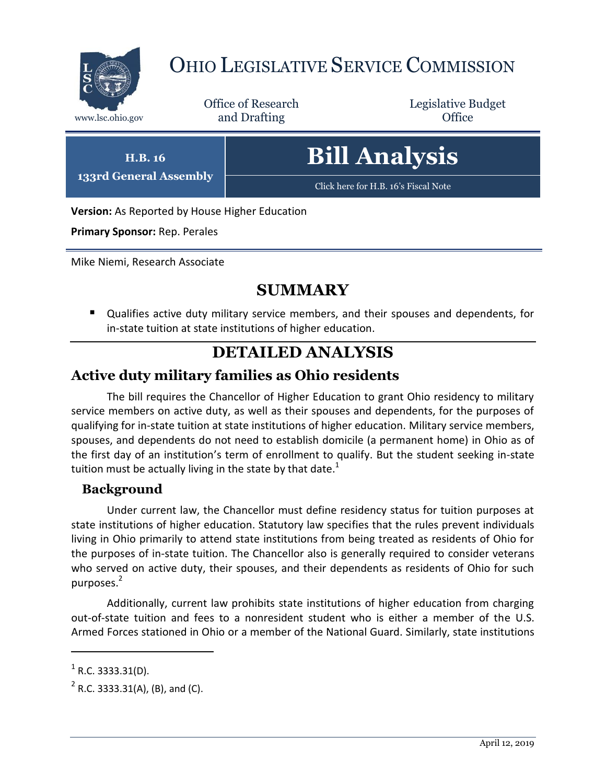

# OHIO LEGISLATIVE SERVICE COMMISSION

Office of Research www.lsc.ohio.gov and Drafting Control Control of Control Control Office

Legislative Budget

**H.B. 16 133rd General Assembly** **Bill Analysis**

[Click here for H.B. 16](https://www.legislature.ohio.gov/legislation/legislation-documents?id=GA133-HB-16)'s Fiscal Note

**Version:** As Reported by House Higher Education

**Primary Sponsor:** Rep. Perales

Mike Niemi, Research Associate

## **SUMMARY**

 Qualifies active duty military service members, and their spouses and dependents, for in-state tuition at state institutions of higher education.

### **DETAILED ANALYSIS**

#### **Active duty military families as Ohio residents**

The bill requires the Chancellor of Higher Education to grant Ohio residency to military service members on active duty, as well as their spouses and dependents, for the purposes of qualifying for in-state tuition at state institutions of higher education. Military service members, spouses, and dependents do not need to establish domicile (a permanent home) in Ohio as of the first day of an institution's term of enrollment to qualify. But the student seeking in-state tuition must be actually living in the state by that date.<sup>1</sup>

#### **Background**

Under current law, the Chancellor must define residency status for tuition purposes at state institutions of higher education. Statutory law specifies that the rules prevent individuals living in Ohio primarily to attend state institutions from being treated as residents of Ohio for the purposes of in-state tuition. The Chancellor also is generally required to consider veterans who served on active duty, their spouses, and their dependents as residents of Ohio for such purposes.<sup>2</sup>

Additionally, current law prohibits state institutions of higher education from charging out-of-state tuition and fees to a nonresident student who is either a member of the U.S. Armed Forces stationed in Ohio or a member of the National Guard. Similarly, state institutions

 $\overline{a}$ 

 $<sup>1</sup>$  R.C. 3333.31(D).</sup>

 $2^2$  R.C. 3333.31(A), (B), and (C).